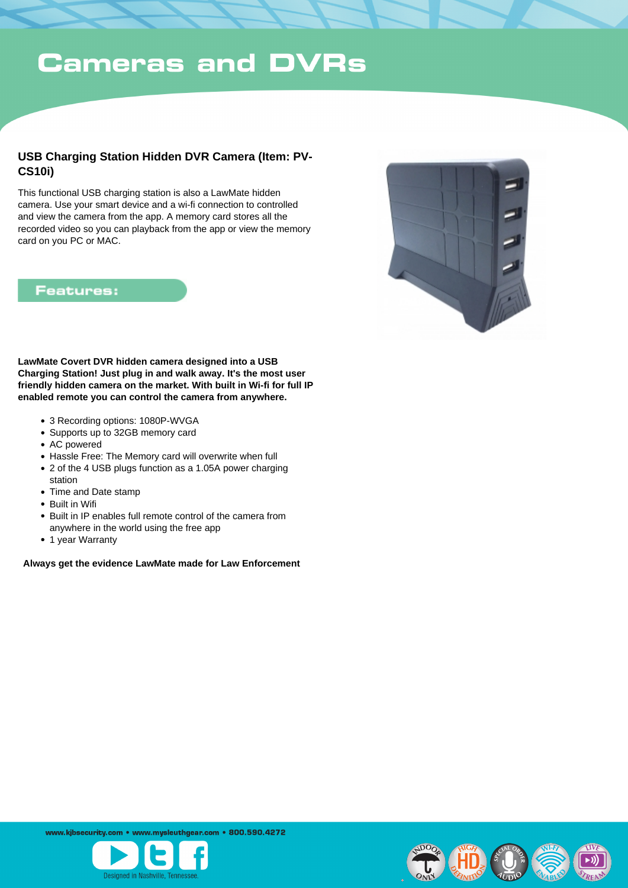## **Cameras and DVRs**

### **USB Charging Station Hidden DVR Camera (Item: PV-CS10i)**

This functional USB charging station is also a LawMate hidden camera. Use your smart device and a wi-fi connection to controlled and view the camera from the app. A memory card stores all the recorded video so you can playback from the app or view the memory card on you PC or MAC.

#### **Features:**



**LawMate Covert DVR hidden camera designed into a USB Charging Station! Just plug in and walk away. It's the most user friendly hidden camera on the market. With built in Wi-fi for full IP enabled remote you can control the camera from anywhere.**

- 3 Recording options: 1080P-WVGA
- Supports up to 32GB memory card
- AC powered
- Hassle Free: The Memory card will overwrite when full
- 2 of the 4 USB plugs function as a 1.05A power charging
- station
- Time and Date stamp
- Built in Wifi
- Built in IP enables full remote control of the camera from anywhere in the world using the free app
- 1 year Warranty

 **Always get the evidence LawMate made for Law Enforcement**

www.kibsecurity.com • www.mysleuthgear.com • 800.590.4272